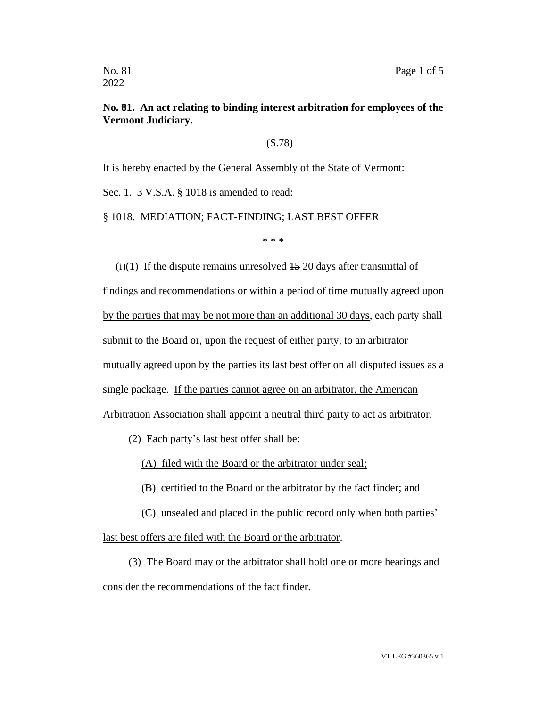## **No. 81. An act relating to binding interest arbitration for employees of the Vermont Judiciary.**

(S.78)

It is hereby enacted by the General Assembly of the State of Vermont:

Sec. 1. 3 V.S.A. § 1018 is amended to read:

§ 1018. MEDIATION; FACT-FINDING; LAST BEST OFFER

\* \* \*

(i)(1) If the dispute remains unresolved  $\frac{15}{20}$  days after transmittal of findings and recommendations or within a period of time mutually agreed upon by the parties that may be not more than an additional 30 days, each party shall submit to the Board or, upon the request of either party, to an arbitrator mutually agreed upon by the parties its last best offer on all disputed issues as a single package. If the parties cannot agree on an arbitrator, the American Arbitration Association shall appoint a neutral third party to act as arbitrator.

 $(2)$  Each party's last best offer shall be:

(A) filed with the Board or the arbitrator under seal;

(B) certified to the Board or the arbitrator by the fact finder; and

(C) unsealed and placed in the public record only when both parties' last best offers are filed with the Board or the arbitrator.

(3) The Board may or the arbitrator shall hold one or more hearings and consider the recommendations of the fact finder.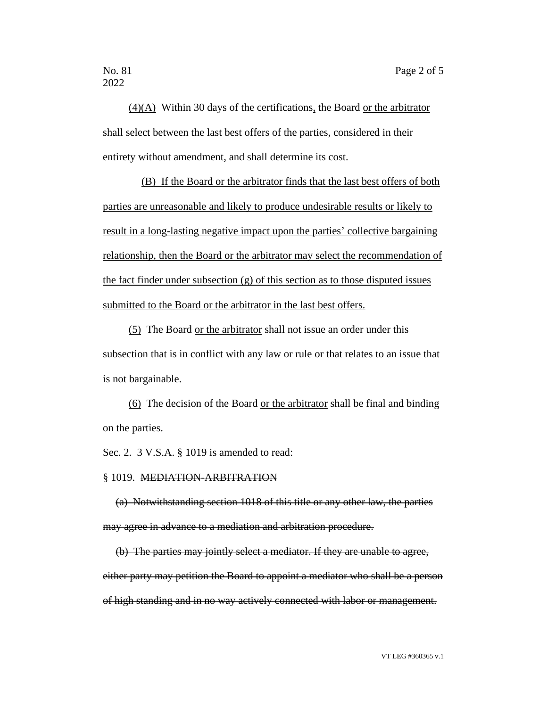2022

(4)(A) Within 30 days of the certifications, the Board or the arbitrator shall select between the last best offers of the parties, considered in their entirety without amendment, and shall determine its cost.

(B) If the Board or the arbitrator finds that the last best offers of both parties are unreasonable and likely to produce undesirable results or likely to result in a long-lasting negative impact upon the parties' collective bargaining relationship, then the Board or the arbitrator may select the recommendation of the fact finder under subsection (g) of this section as to those disputed issues submitted to the Board or the arbitrator in the last best offers.

(5) The Board or the arbitrator shall not issue an order under this subsection that is in conflict with any law or rule or that relates to an issue that is not bargainable.

(6) The decision of the Board or the arbitrator shall be final and binding on the parties.

Sec. 2. 3 V.S.A. § 1019 is amended to read:

## § 1019. MEDIATION-ARBITRATION

(a) Notwithstanding section 1018 of this title or any other law, the parties may agree in advance to a mediation and arbitration procedure.

(b) The parties may jointly select a mediator. If they are unable to agree, either party may petition the Board to appoint a mediator who shall be a person of high standing and in no way actively connected with labor or management.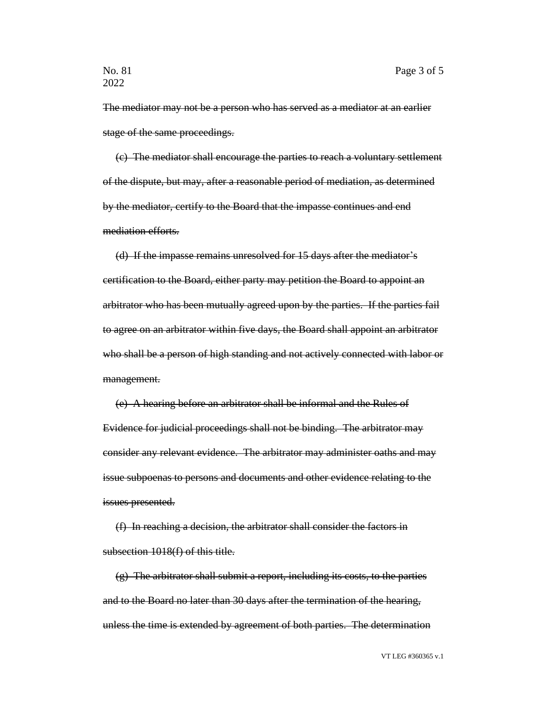The mediator may not be a person who has served as a mediator at an earlier stage of the same proceedings.

(c) The mediator shall encourage the parties to reach a voluntary settlement of the dispute, but may, after a reasonable period of mediation, as determined by the mediator, certify to the Board that the impasse continues and end mediation efforts.

(d) If the impasse remains unresolved for 15 days after the mediator's certification to the Board, either party may petition the Board to appoint an arbitrator who has been mutually agreed upon by the parties. If the parties fail to agree on an arbitrator within five days, the Board shall appoint an arbitrator who shall be a person of high standing and not actively connected with labor or management.

(e) A hearing before an arbitrator shall be informal and the Rules of Evidence for judicial proceedings shall not be binding. The arbitrator may consider any relevant evidence. The arbitrator may administer oaths and may issue subpoenas to persons and documents and other evidence relating to the issues presented.

(f) In reaching a decision, the arbitrator shall consider the factors in subsection 1018(f) of this title.

(g) The arbitrator shall submit a report, including its costs, to the parties and to the Board no later than 30 days after the termination of the hearing, unless the time is extended by agreement of both parties. The determination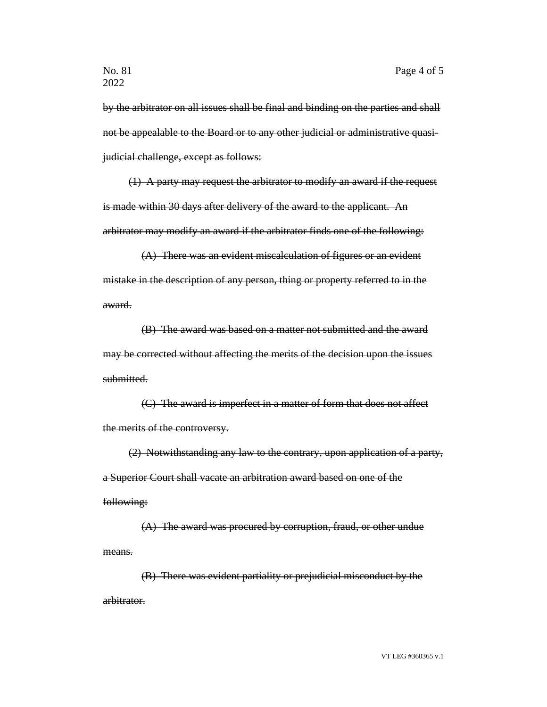by the arbitrator on all issues shall be final and binding on the parties and shall not be appealable to the Board or to any other judicial or administrative quasijudicial challenge, except as follows:

(1) A party may request the arbitrator to modify an award if the request is made within 30 days after delivery of the award to the applicant. An arbitrator may modify an award if the arbitrator finds one of the following:

(A) There was an evident miscalculation of figures or an evident mistake in the description of any person, thing or property referred to in the award.

(B) The award was based on a matter not submitted and the award may be corrected without affecting the merits of the decision upon the issues submitted.

(C) The award is imperfect in a matter of form that does not affect the merits of the controversy.

(2) Notwithstanding any law to the contrary, upon application of a party, a Superior Court shall vacate an arbitration award based on one of the following:

(A) The award was procured by corruption, fraud, or other undue means.

(B) There was evident partiality or prejudicial misconduct by the arbitrator.